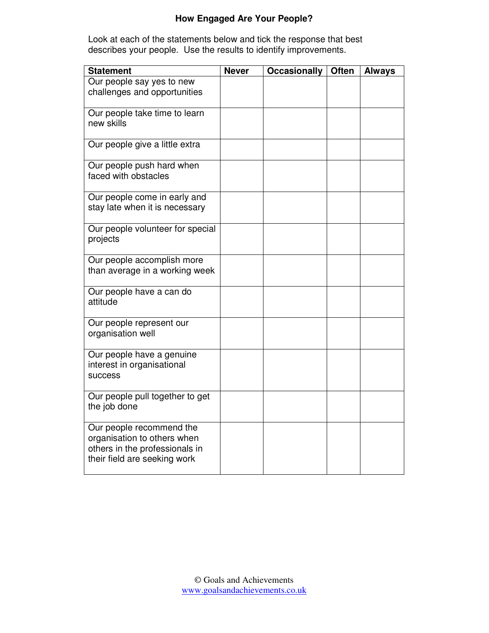## **How Engaged Are Your People?**

Look at each of the statements below and tick the response that best describes your people. Use the results to identify improvements.

| <b>Statement</b>                                                                                                          | <b>Never</b> | <b>Occasionally</b> | <b>Often</b> | <b>Always</b> |
|---------------------------------------------------------------------------------------------------------------------------|--------------|---------------------|--------------|---------------|
| Our people say yes to new<br>challenges and opportunities                                                                 |              |                     |              |               |
| Our people take time to learn<br>new skills                                                                               |              |                     |              |               |
| Our people give a little extra                                                                                            |              |                     |              |               |
| Our people push hard when<br>faced with obstacles                                                                         |              |                     |              |               |
| Our people come in early and<br>stay late when it is necessary                                                            |              |                     |              |               |
| Our people volunteer for special<br>projects                                                                              |              |                     |              |               |
| Our people accomplish more<br>than average in a working week                                                              |              |                     |              |               |
| Our people have a can do<br>attitude                                                                                      |              |                     |              |               |
| Our people represent our<br>organisation well                                                                             |              |                     |              |               |
| Our people have a genuine<br>interest in organisational<br>success                                                        |              |                     |              |               |
| Our people pull together to get<br>the job done                                                                           |              |                     |              |               |
| Our people recommend the<br>organisation to others when<br>others in the professionals in<br>their field are seeking work |              |                     |              |               |